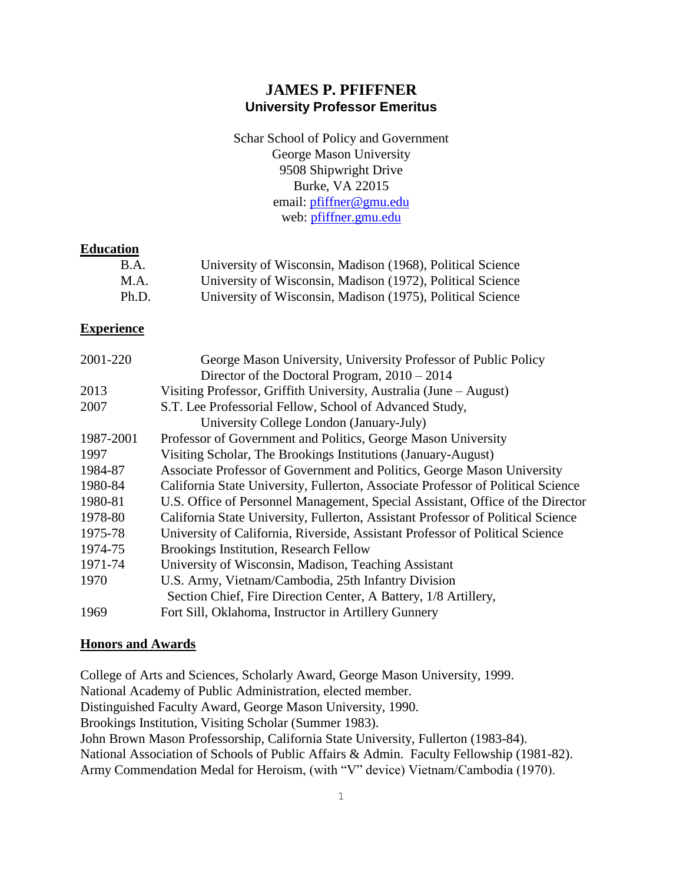## **JAMES P. PFIFFNER University Professor Emeritus**

Schar School of Policy and Government George Mason University 9508 Shipwright Drive Burke, VA 22015 email: [pfiffner@gmu.edu](mailto:pfiffner@gmu.edu) web: [pfiffner.gmu.edu](http://pfiffner.gmu.edu/publications/journal-articles/)

## **Education**

| B.A.  | University of Wisconsin, Madison (1968), Political Science |
|-------|------------------------------------------------------------|
| M.A.  | University of Wisconsin, Madison (1972), Political Science |
| Ph.D. | University of Wisconsin, Madison (1975), Political Science |

## **Experience**

| 2001-220  | George Mason University, University Professor of Public Policy                   |
|-----------|----------------------------------------------------------------------------------|
|           | Director of the Doctoral Program, $2010 - 2014$                                  |
| 2013      | Visiting Professor, Griffith University, Australia (June – August)               |
| 2007      | S.T. Lee Professorial Fellow, School of Advanced Study,                          |
|           | University College London (January-July)                                         |
| 1987-2001 | Professor of Government and Politics, George Mason University                    |
| 1997      | Visiting Scholar, The Brookings Institutions (January-August)                    |
| 1984-87   | Associate Professor of Government and Politics, George Mason University          |
| 1980-84   | California State University, Fullerton, Associate Professor of Political Science |
| 1980-81   | U.S. Office of Personnel Management, Special Assistant, Office of the Director   |
| 1978-80   | California State University, Fullerton, Assistant Professor of Political Science |
| 1975-78   | University of California, Riverside, Assistant Professor of Political Science    |
| 1974-75   | <b>Brookings Institution, Research Fellow</b>                                    |
| 1971-74   | University of Wisconsin, Madison, Teaching Assistant                             |
| 1970      | U.S. Army, Vietnam/Cambodia, 25th Infantry Division                              |
|           | Section Chief, Fire Direction Center, A Battery, 1/8 Artillery,                  |
| 1969      | Fort Sill, Oklahoma, Instructor in Artillery Gunnery                             |

## **Honors and Awards**

College of Arts and Sciences, Scholarly Award, George Mason University, 1999. National Academy of Public Administration, elected member. Distinguished Faculty Award, George Mason University, 1990. Brookings Institution, Visiting Scholar (Summer 1983). John Brown Mason Professorship, California State University, Fullerton (1983-84). National Association of Schools of Public Affairs & Admin. Faculty Fellowship (1981-82). Army Commendation Medal for Heroism, (with "V" device) Vietnam/Cambodia (1970).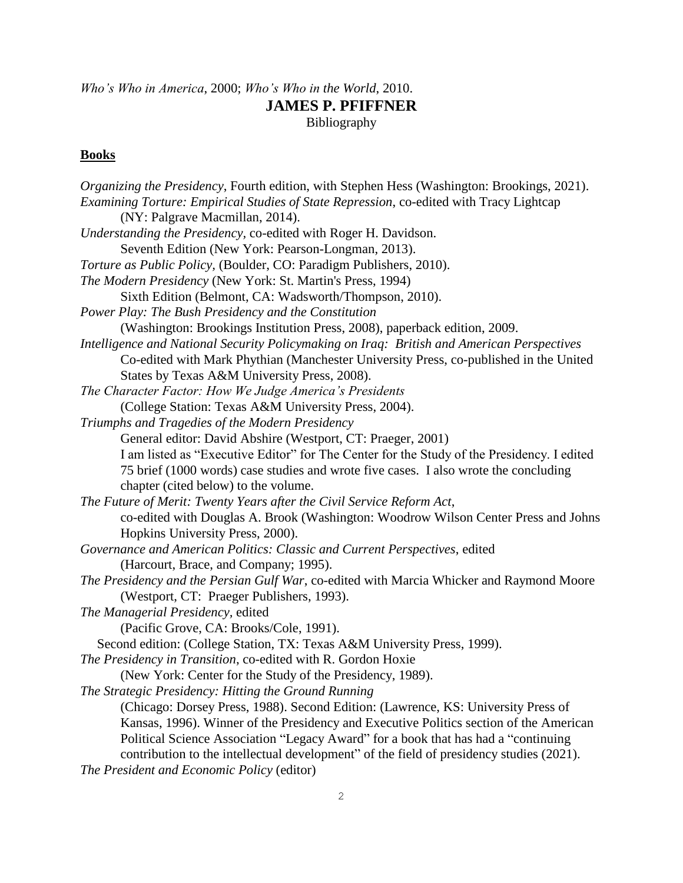# *Who's Who in America*, 2000; *Who's Who in the World*, 2010. **JAMES P. PFIFFNER** Bibliography

# **Books**

| Organizing the Presidency, Fourth edition, with Stephen Hess (Washington: Brookings, 2021). |
|---------------------------------------------------------------------------------------------|
| Examining Torture: Empirical Studies of State Repression, co-edited with Tracy Lightcap     |
| (NY: Palgrave Macmillan, 2014).                                                             |
| Understanding the Presidency, co-edited with Roger H. Davidson.                             |
| Seventh Edition (New York: Pearson-Longman, 2013).                                          |
| Torture as Public Policy, (Boulder, CO: Paradigm Publishers, 2010).                         |
| The Modern Presidency (New York: St. Martin's Press, 1994)                                  |
| Sixth Edition (Belmont, CA: Wadsworth/Thompson, 2010).                                      |
| Power Play: The Bush Presidency and the Constitution                                        |
| (Washington: Brookings Institution Press, 2008), paperback edition, 2009.                   |
| Intelligence and National Security Policymaking on Iraq: British and American Perspectives  |
| Co-edited with Mark Phythian (Manchester University Press, co-published in the United       |
| States by Texas A&M University Press, 2008).                                                |
| The Character Factor: How We Judge America's Presidents                                     |
| (College Station: Texas A&M University Press, 2004).                                        |
| Triumphs and Tragedies of the Modern Presidency                                             |
| General editor: David Abshire (Westport, CT: Praeger, 2001)                                 |
| I am listed as "Executive Editor" for The Center for the Study of the Presidency. I edited  |
| 75 brief (1000 words) case studies and wrote five cases. I also wrote the concluding        |
| chapter (cited below) to the volume.                                                        |
| The Future of Merit: Twenty Years after the Civil Service Reform Act,                       |
| co-edited with Douglas A. Brook (Washington: Woodrow Wilson Center Press and Johns          |
| Hopkins University Press, 2000).                                                            |
| Governance and American Politics: Classic and Current Perspectives, edited                  |
| (Harcourt, Brace, and Company; 1995).                                                       |
| The Presidency and the Persian Gulf War, co-edited with Marcia Whicker and Raymond Moore    |
| (Westport, CT: Praeger Publishers, 1993).                                                   |
| The Managerial Presidency, edited                                                           |
| (Pacific Grove, CA: Brooks/Cole, 1991).                                                     |
| Second edition: (College Station, TX: Texas A&M University Press, 1999).                    |
| The Presidency in Transition, co-edited with R. Gordon Hoxie                                |
| (New York: Center for the Study of the Presidency, 1989).                                   |
| The Strategic Presidency: Hitting the Ground Running                                        |
| (Chicago: Dorsey Press, 1988). Second Edition: (Lawrence, KS: University Press of           |
| Kansas, 1996). Winner of the Presidency and Executive Politics section of the American      |
| Political Science Association "Legacy Award" for a book that has had a "continuing          |
| contribution to the intellectual development" of the field of presidency studies (2021).    |
| The President and Economic Policy (editor)                                                  |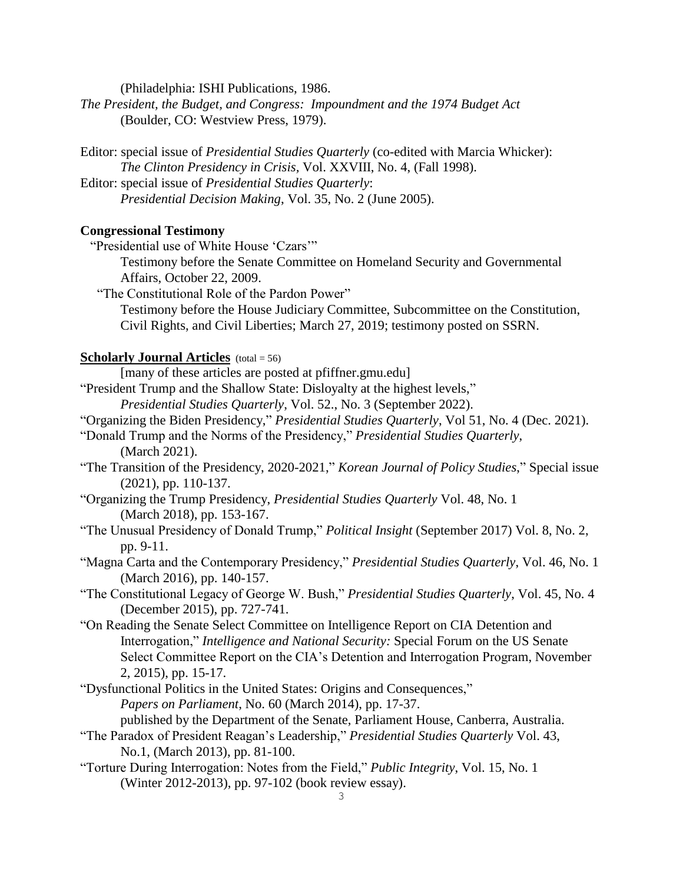(Philadelphia: ISHI Publications, 1986.

- *The President, the Budget, and Congress: Impoundment and the 1974 Budget Act*  (Boulder, CO: Westview Press, 1979).
- Editor: special issue of *Presidential Studies Quarterly* (co-edited with Marcia Whicker): *The Clinton Presidency in Crisis,* Vol. XXVIII, No. 4, (Fall 1998).
- Editor: special issue of *Presidential Studies Quarterly*: *Presidential Decision Making*, Vol. 35, No. 2 (June 2005).

### **Congressional Testimony**

- "Presidential use of White House 'Czars'"
	- Testimony before the Senate Committee on Homeland Security and Governmental Affairs, October 22, 2009.
- "The Constitutional Role of the Pardon Power" Testimony before the House Judiciary Committee, Subcommittee on the Constitution, Civil Rights, and Civil Liberties; March 27, 2019; testimony posted on SSRN.

## **Scholarly Journal Articles** (total = 56)

[many of these articles are posted at pfiffner.gmu.edu]

"President Trump and the Shallow State: Disloyalty at the highest levels,"

*Presidential Studies Quarterly*, Vol. 52., No. 3 (September 2022).

- "Organizing the Biden Presidency," *Presidential Studies Quarterly*, Vol 51, No. 4 (Dec. 2021).
- "Donald Trump and the Norms of the Presidency," *Presidential Studies Quarterly*, (March 2021).
- "The Transition of the Presidency, 2020-2021," *Korean Journal of Policy Studies*," Special issue (2021), pp. 110-137.
- "Organizing the Trump Presidency, *Presidential Studies Quarterly* Vol. 48, No. 1 (March 2018), pp. 153-167.
- "The Unusual Presidency of Donald Trump," *Political Insight* (September 2017) Vol. 8, No. 2, pp. 9-11.
- "Magna Carta and the Contemporary Presidency," *Presidential Studies Quarterly*, Vol. 46, No. 1 (March 2016), pp. 140-157.
- "The Constitutional Legacy of George W. Bush," *Presidential Studies Quarterly*, Vol. 45, No. 4 (December 2015), pp. 727-741.
- "On Reading the Senate Select Committee on Intelligence Report on CIA Detention and Interrogation," *Intelligence and National Security:* Special Forum on the US Senate Select Committee Report on the CIA's Detention and Interrogation Program, November 2, 2015), pp. 15-17.
- "Dysfunctional Politics in the United States: Origins and Consequences," *Papers on Parliament*, No. 60 (March 2014), pp. 17-37.
	- published by the Department of the Senate, Parliament House, Canberra, Australia.
- "The Paradox of President Reagan's Leadership," *Presidential Studies Quarterly* Vol. 43, No.1, (March 2013), pp. 81-100.
- "Torture During Interrogation: Notes from the Field," *Public Integrity*, Vol. 15, No. 1 (Winter 2012-2013), pp. 97-102 (book review essay).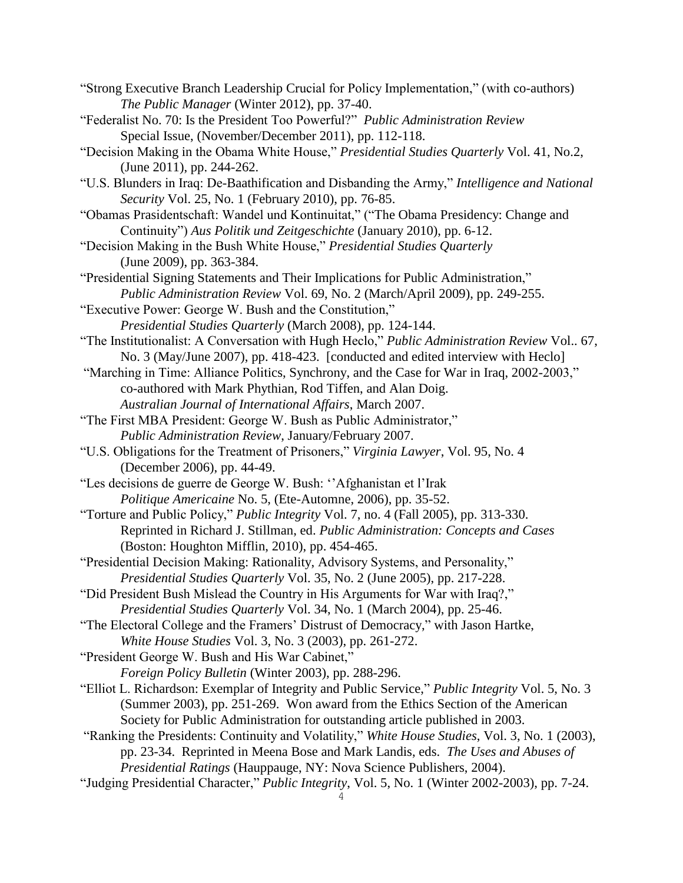- "Strong Executive Branch Leadership Crucial for Policy Implementation," (with co-authors) *The Public Manager* (Winter 2012), pp. 37-40.
- "Federalist No. 70: Is the President Too Powerful?" *Public Administration Review* Special Issue, (November/December 2011), pp. 112-118.
- "Decision Making in the Obama White House," *Presidential Studies Quarterly* Vol. 41, No.2, (June 2011), pp. 244-262.
- "U.S. Blunders in Iraq: De-Baathification and Disbanding the Army," *Intelligence and National Security* Vol. 25, No. 1 (February 2010), pp. 76-85.
- "Obamas Prasidentschaft: Wandel und Kontinuitat," ("The Obama Presidency: Change and Continuity") *Aus Politik und Zeitgeschichte* (January 2010), pp. 6-12.

"Decision Making in the Bush White House," *Presidential Studies Quarterly* (June 2009), pp. 363-384.

- "Presidential Signing Statements and Their Implications for Public Administration," *Public Administration Review* Vol. 69, No. 2 (March/April 2009), pp. 249-255.
- "Executive Power: George W. Bush and the Constitution," *Presidential Studies Quarterly* (March 2008), pp. 124-144.
- "The Institutionalist: A Conversation with Hugh Heclo," *Public Administration Review* Vol.. 67, No. 3 (May/June 2007), pp. 418-423. [conducted and edited interview with Heclo]
- "Marching in Time: Alliance Politics, Synchrony, and the Case for War in Iraq, 2002-2003," co-authored with Mark Phythian, Rod Tiffen, and Alan Doig. *Australian Journal of International Affairs*, March 2007.
- "The First MBA President: George W. Bush as Public Administrator," *Public Administration Review*, January/February 2007.
- "U.S. Obligations for the Treatment of Prisoners," *Virginia Lawyer*, Vol. 95, No. 4 (December 2006), pp. 44-49.
- "Les decisions de guerre de George W. Bush: ''Afghanistan et l'Irak *Politique Americaine* No. 5, (Ete-Automne, 2006), pp. 35-52.
- "Torture and Public Policy," *Public Integrity* Vol. 7, no. 4 (Fall 2005), pp. 313-330. Reprinted in Richard J. Stillman, ed. *Public Administration: Concepts and Cases* (Boston: Houghton Mifflin, 2010), pp. 454-465.
- "Presidential Decision Making: Rationality, Advisory Systems, and Personality," *Presidential Studies Quarterly* Vol. 35, No. 2 (June 2005), pp. 217-228.
- "Did President Bush Mislead the Country in His Arguments for War with Iraq?," *Presidential Studies Quarterly* Vol. 34, No. 1 (March 2004), pp. 25-46.
- "The Electoral College and the Framers' Distrust of Democracy," with Jason Hartke, *White House Studies* Vol. 3, No. 3 (2003), pp. 261-272.
- "President George W. Bush and His War Cabinet,"
	- *Foreign Policy Bulletin* (Winter 2003), pp. 288-296.
- "Elliot L. Richardson: Exemplar of Integrity and Public Service," *Public Integrity* Vol. 5, No. 3 (Summer 2003), pp. 251-269. Won award from the Ethics Section of the American Society for Public Administration for outstanding article published in 2003.
- "Ranking the Presidents: Continuity and Volatility," *White House Studies*, Vol. 3, No. 1 (2003), pp. 23-34. Reprinted in Meena Bose and Mark Landis, eds. *The Uses and Abuses of Presidential Ratings* (Hauppauge, NY: Nova Science Publishers, 2004).
- "Judging Presidential Character," *Public Integrity*, Vol. 5, No. 1 (Winter 2002-2003), pp. 7-24.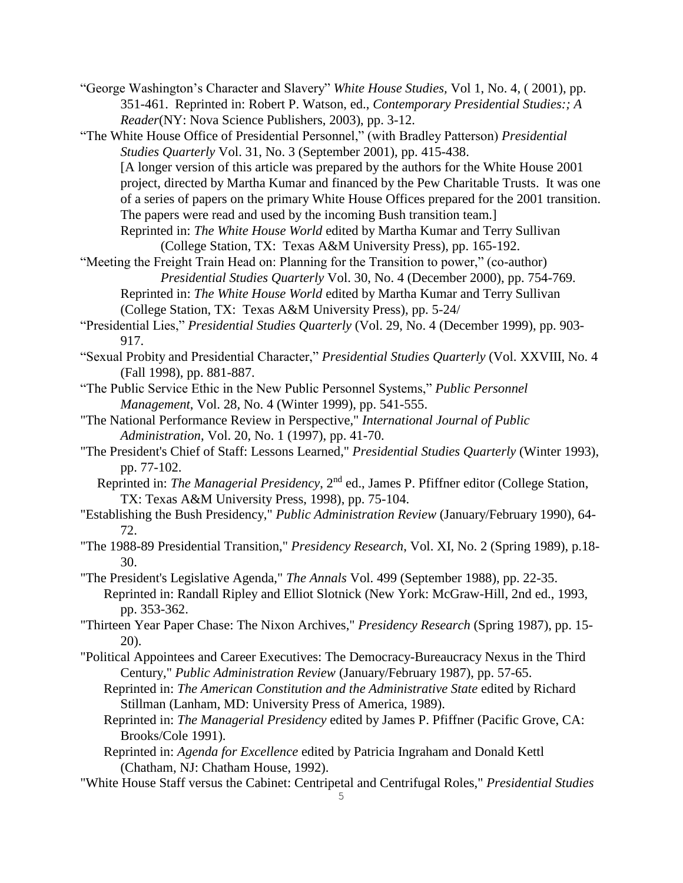"George Washington's Character and Slavery" *White House Studies,* Vol 1, No. 4, ( 2001), pp. 351-461. Reprinted in: Robert P. Watson, ed., *Contemporary Presidential Studies:; A Reader*(NY: Nova Science Publishers, 2003), pp. 3-12.

"The White House Office of Presidential Personnel," (with Bradley Patterson) *Presidential Studies Quarterly* Vol. 31, No. 3 (September 2001), pp. 415-438. [A longer version of this article was prepared by the authors for the White House 2001 project, directed by Martha Kumar and financed by the Pew Charitable Trusts. It was one of a series of papers on the primary White House Offices prepared for the 2001 transition. The papers were read and used by the incoming Bush transition team.] Reprinted in: *The White House World* edited by Martha Kumar and Terry Sullivan

(College Station, TX: Texas A&M University Press), pp. 165-192.

"Meeting the Freight Train Head on: Planning for the Transition to power," (co-author) *Presidential Studies Quarterly* Vol. 30, No. 4 (December 2000), pp. 754-769.

Reprinted in: *The White House World* edited by Martha Kumar and Terry Sullivan (College Station, TX: Texas A&M University Press), pp. 5-24/

- "Presidential Lies," *Presidential Studies Quarterly* (Vol. 29, No. 4 (December 1999), pp. 903- 917.
- "Sexual Probity and Presidential Character," *Presidential Studies Quarterly* (Vol. XXVIII, No. 4 (Fall 1998), pp. 881-887.
- "The Public Service Ethic in the New Public Personnel Systems," *Public Personnel Management*, Vol. 28, No. 4 (Winter 1999), pp. 541-555.
- "The National Performance Review in Perspective," *International Journal of Public Administration*, Vol. 20, No. 1 (1997), pp. 41-70.
- "The President's Chief of Staff: Lessons Learned," *Presidential Studies Quarterly* (Winter 1993), pp. 77-102.

 Reprinted in: *The Managerial Presidency*, 2nd ed., James P. Pfiffner editor (College Station, TX: Texas A&M University Press, 1998), pp. 75-104.

- "Establishing the Bush Presidency," *Public Administration Review* (January/February 1990), 64- 72.
- "The 1988-89 Presidential Transition," *Presidency Research*, Vol. XI, No. 2 (Spring 1989), p.18- 30.

"The President's Legislative Agenda," *The Annals* Vol. 499 (September 1988), pp. 22-35. Reprinted in: Randall Ripley and Elliot Slotnick (New York: McGraw-Hill, 2nd ed., 1993, pp. 353-362.

"Thirteen Year Paper Chase: The Nixon Archives," *Presidency Research* (Spring 1987), pp. 15- 20).

- "Political Appointees and Career Executives: The Democracy-Bureaucracy Nexus in the Third Century," *Public Administration Review* (January/February 1987), pp. 57-65.
	- Reprinted in: *The American Constitution and the Administrative State* edited by Richard Stillman (Lanham, MD: University Press of America, 1989).
	- Reprinted in: *The Managerial Presidency* edited by James P. Pfiffner (Pacific Grove, CA: Brooks/Cole 1991).
	- Reprinted in: *Agenda for Excellence* edited by Patricia Ingraham and Donald Kettl (Chatham, NJ: Chatham House, 1992).
- "White House Staff versus the Cabinet: Centripetal and Centrifugal Roles," *Presidential Studies*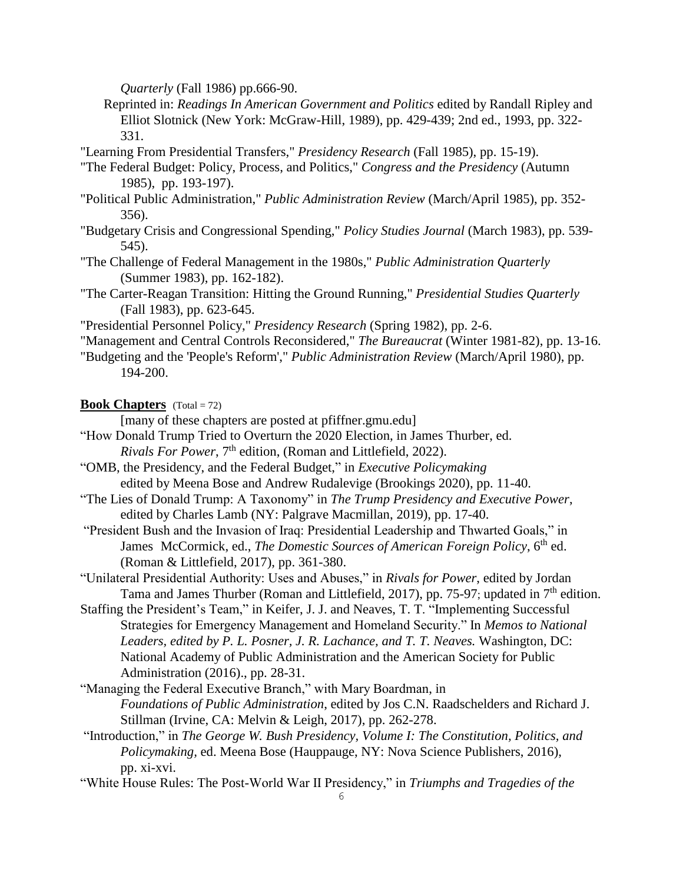*Quarterly* (Fall 1986) pp.666-90.

- Reprinted in: *Readings In American Government and Politics* edited by Randall Ripley and Elliot Slotnick (New York: McGraw-Hill, 1989), pp. 429-439; 2nd ed., 1993, pp. 322- 331.
- "Learning From Presidential Transfers," *Presidency Research* (Fall 1985), pp. 15-19).
- "The Federal Budget: Policy, Process, and Politics," *Congress and the Presidency* (Autumn 1985), pp. 193-197).
- "Political Public Administration," *Public Administration Review* (March/April 1985), pp. 352- 356).
- "Budgetary Crisis and Congressional Spending," *Policy Studies Journal* (March 1983), pp. 539- 545).
- "The Challenge of Federal Management in the 1980s," *Public Administration Quarterly* (Summer 1983), pp. 162-182).
- "The Carter-Reagan Transition: Hitting the Ground Running," *Presidential Studies Quarterly* (Fall 1983), pp. 623-645.
- "Presidential Personnel Policy," *Presidency Research* (Spring 1982), pp. 2-6.
- "Management and Central Controls Reconsidered," *The Bureaucrat* (Winter 1981-82), pp. 13-16.
- "Budgeting and the 'People's Reform'," *Public Administration Review* (March/April 1980), pp. 194-200.

## **Book Chapters** (Total = 72)

- [many of these chapters are posted at pfiffner.gmu.edu]
- "How Donald Trump Tried to Overturn the 2020 Election, in James Thurber, ed. *Rivals For Power*, 7<sup>th</sup> edition, (Roman and Littlefield, 2022).
- "OMB, the Presidency, and the Federal Budget," in *Executive Policymaking* edited by Meena Bose and Andrew Rudalevige (Brookings 2020), pp. 11-40.
- "The Lies of Donald Trump: A Taxonomy" in *The Trump Presidency and Executive Power*, edited by Charles Lamb (NY: Palgrave Macmillan, 2019), pp. 17-40.
- "President Bush and the Invasion of Iraq: Presidential Leadership and Thwarted Goals," in James McCormick, ed., *The Domestic Sources of American Foreign Policy*, 6<sup>th</sup> ed. (Roman & Littlefield, 2017), pp. 361-380.
- "Unilateral Presidential Authority: Uses and Abuses," in *Rivals for Power*, edited by Jordan Tama and James Thurber (Roman and Littlefield, 2017), pp. 75-97; updated in  $7<sup>th</sup>$  edition.
- Staffing the President's Team," in Keifer, J. J. and Neaves, T. T. "Implementing Successful Strategies for Emergency Management and Homeland Security." In *Memos to National Leaders, edited by P. L. Posner, J. R. Lachance, and T. T. Neaves.* Washington, DC: National Academy of Public Administration and the American Society for Public Administration (2016)., pp. 28-31.
- "Managing the Federal Executive Branch," with Mary Boardman, in *Foundations of Public Administration*, edited by Jos C.N. Raadschelders and Richard J. Stillman (Irvine, CA: Melvin & Leigh, 2017), pp. 262-278.
- "Introduction," in *The George W. Bush Presidency, Volume I: The Constitution, Politics, and Policymaking,* ed. Meena Bose (Hauppauge, NY: Nova Science Publishers, 2016), pp. xi-xvi.
- "White House Rules: The Post-World War II Presidency," in *Triumphs and Tragedies of the*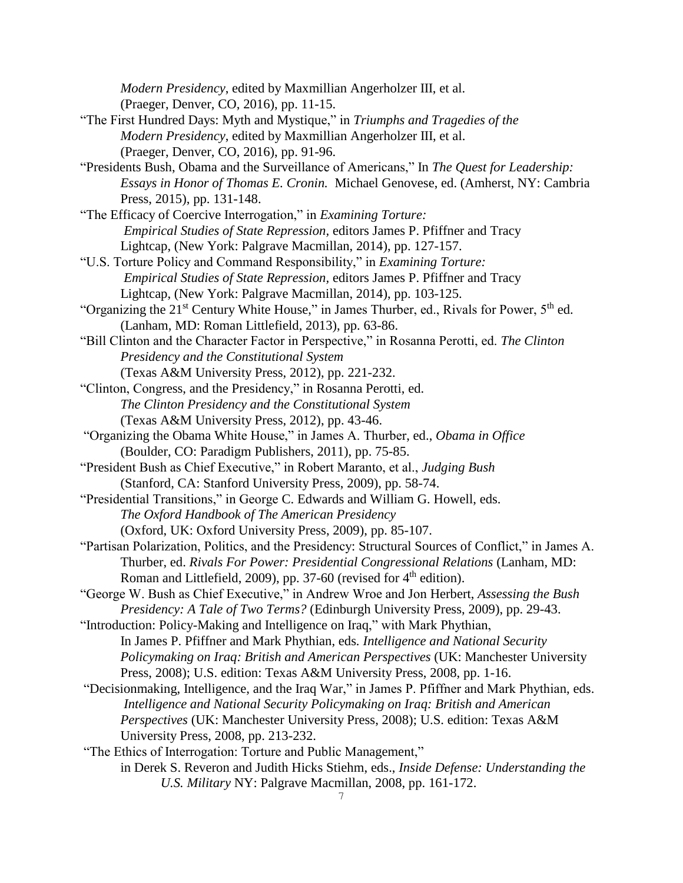*Modern Presidency*, edited by Maxmillian Angerholzer III, et al. (Praeger, Denver, CO, 2016), pp. 11-15.

- "The First Hundred Days: Myth and Mystique," in *Triumphs and Tragedies of the Modern Presidency*, edited by Maxmillian Angerholzer III, et al. (Praeger, Denver, CO, 2016), pp. 91-96.
- "Presidents Bush, Obama and the Surveillance of Americans," In *The Quest for Leadership: Essays in Honor of Thomas E. Cronin.* Michael Genovese, ed. (Amherst, NY: Cambria Press, 2015), pp. 131-148.
- "The Efficacy of Coercive Interrogation," in *Examining Torture: Empirical Studies of State Repression,* editors James P. Pfiffner and Tracy Lightcap, (New York: Palgrave Macmillan, 2014), pp. 127-157.
- "U.S. Torture Policy and Command Responsibility," in *Examining Torture: Empirical Studies of State Repression,* editors James P. Pfiffner and Tracy Lightcap, (New York: Palgrave Macmillan, 2014), pp. 103-125.
- "Organizing the 21<sup>st</sup> Century White House," in James Thurber, ed., Rivals for Power, 5<sup>th</sup> ed. (Lanham, MD: Roman Littlefield, 2013), pp. 63-86.
- "Bill Clinton and the Character Factor in Perspective," in Rosanna Perotti, ed. *The Clinton Presidency and the Constitutional System*
	- (Texas A&M University Press, 2012), pp. 221-232.
- "Clinton, Congress, and the Presidency," in Rosanna Perotti, ed. *The Clinton Presidency and the Constitutional System* (Texas A&M University Press, 2012), pp. 43-46.
- "Organizing the Obama White House," in James A. Thurber, ed., *Obama in Office* (Boulder, CO: Paradigm Publishers, 2011), pp. 75-85.
- "President Bush as Chief Executive," in Robert Maranto, et al., *Judging Bush* (Stanford, CA: Stanford University Press, 2009), pp. 58-74.
- "Presidential Transitions," in George C. Edwards and William G. Howell, eds. *The Oxford Handbook of The American Presidency*
- (Oxford, UK: Oxford University Press, 2009), pp. 85-107. "Partisan Polarization, Politics, and the Presidency: Structural Sources of Conflict," in James A. Thurber, ed. *Rivals For Power: Presidential Congressional Relations* (Lanham, MD:
	- Roman and Littlefield, 2009), pp. 37-60 (revised for  $4<sup>th</sup>$  edition).
- "George W. Bush as Chief Executive," in Andrew Wroe and Jon Herbert, *Assessing the Bush Presidency: A Tale of Two Terms?* (Edinburgh University Press, 2009), pp. 29-43.
- "Introduction: Policy-Making and Intelligence on Iraq," with Mark Phythian, In James P. Pfiffner and Mark Phythian, eds*. Intelligence and National Security Policymaking on Iraq: British and American Perspectives* (UK: Manchester University Press, 2008); U.S. edition: Texas A&M University Press, 2008, pp. 1-16.
- "Decisionmaking, Intelligence, and the Iraq War," in James P. Pfiffner and Mark Phythian, eds. *Intelligence and National Security Policymaking on Iraq: British and American Perspectives* (UK: Manchester University Press, 2008); U.S. edition: Texas A&M University Press, 2008, pp. 213-232.
- "The Ethics of Interrogation: Torture and Public Management," in Derek S. Reveron and Judith Hicks Stiehm, eds., *Inside Defense: Understanding the U.S. Military* NY: Palgrave Macmillan, 2008, pp. 161-172.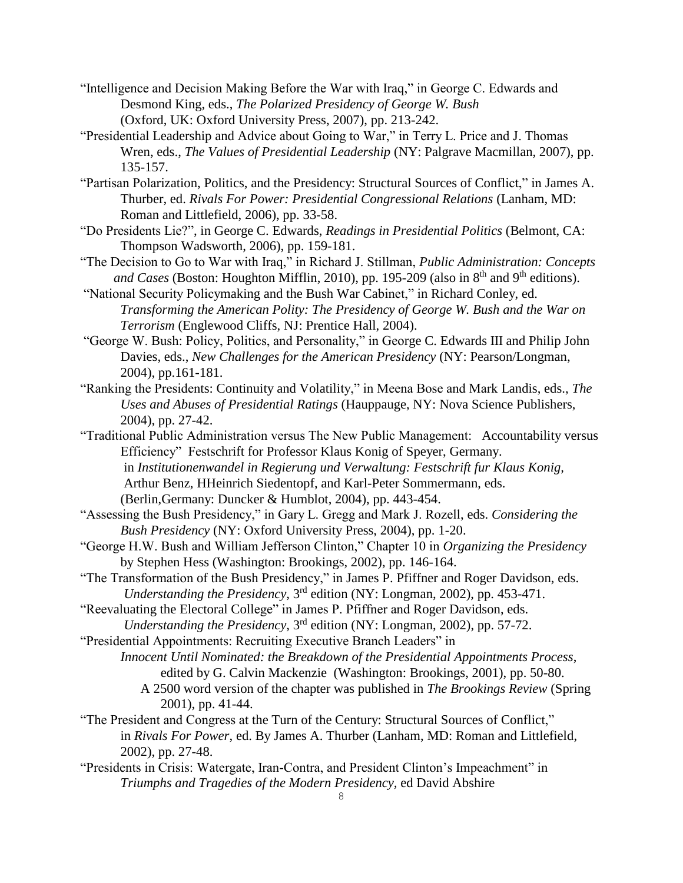- "Intelligence and Decision Making Before the War with Iraq," in George C. Edwards and Desmond King, eds., *The Polarized Presidency of George W. Bush* (Oxford, UK: Oxford University Press, 2007), pp. 213-242.
- "Presidential Leadership and Advice about Going to War," in Terry L. Price and J. Thomas Wren, eds., *The Values of Presidential Leadership* (NY: Palgrave Macmillan, 2007), pp. 135-157.
- "Partisan Polarization, Politics, and the Presidency: Structural Sources of Conflict," in James A. Thurber, ed. *Rivals For Power: Presidential Congressional Relations* (Lanham, MD: Roman and Littlefield, 2006), pp. 33-58.
- "Do Presidents Lie?", in George C. Edwards, *Readings in Presidential Politics* (Belmont, CA: Thompson Wadsworth, 2006), pp. 159-181.
- "The Decision to Go to War with Iraq," in Richard J. Stillman, *Public Administration: Concepts* and Cases (Boston: Houghton Mifflin, 2010), pp. 195-209 (also in 8<sup>th</sup> and 9<sup>th</sup> editions).
- "National Security Policymaking and the Bush War Cabinet," in Richard Conley, ed. *Transforming the American Polity: The Presidency of George W. Bush and the War on Terrorism* (Englewood Cliffs, NJ: Prentice Hall, 2004).
- "George W. Bush: Policy, Politics, and Personality," in George C. Edwards III and Philip John Davies, eds., *New Challenges for the American Presidency* (NY: Pearson/Longman, 2004), pp.161-181.
- "Ranking the Presidents: Continuity and Volatility," in Meena Bose and Mark Landis, eds., *The Uses and Abuses of Presidential Ratings* (Hauppauge, NY: Nova Science Publishers, 2004), pp. 27-42.
- "Traditional Public Administration versus The New Public Management: Accountability versus Efficiency" Festschrift for Professor Klaus Konig of Speyer, Germany. in *Institutionenwandel in Regierung und Verwaltung: Festschrift fur Klaus Konig,*  Arthur Benz, HHeinrich Siedentopf, and Karl-Peter Sommermann, eds. (Berlin,Germany: Duncker & Humblot, 2004), pp. 443-454.
- "Assessing the Bush Presidency," in Gary L. Gregg and Mark J. Rozell, eds. *Considering the Bush Presidency* (NY: Oxford University Press, 2004), pp. 1-20.
- "George H.W. Bush and William Jefferson Clinton," Chapter 10 in *Organizing the Presidency* by Stephen Hess (Washington: Brookings, 2002), pp. 146-164.
- "The Transformation of the Bush Presidency," in James P. Pfiffner and Roger Davidson, eds. *Understanding the Presidency*, 3rd edition (NY: Longman, 2002), pp. 453-471.
- "Reevaluating the Electoral College" in James P. Pfiffner and Roger Davidson, eds. *Understanding the Presidency*, 3rd edition (NY: Longman, 2002), pp. 57-72.
- "Presidential Appointments: Recruiting Executive Branch Leaders" in
	- *Innocent Until Nominated: the Breakdown of the Presidential Appointments Process*, edited by G. Calvin Mackenzie (Washington: Brookings, 2001), pp. 50-80. A 2500 word version of the chapter was published in *The Brookings Review* (Spring
		- 2001), pp. 41-44.
- "The President and Congress at the Turn of the Century: Structural Sources of Conflict," in *Rivals For Power*, ed. By James A. Thurber (Lanham, MD: Roman and Littlefield, 2002), pp. 27-48.
- "Presidents in Crisis: Watergate, Iran-Contra, and President Clinton's Impeachment" in *Triumphs and Tragedies of the Modern Presidency,* ed David Abshire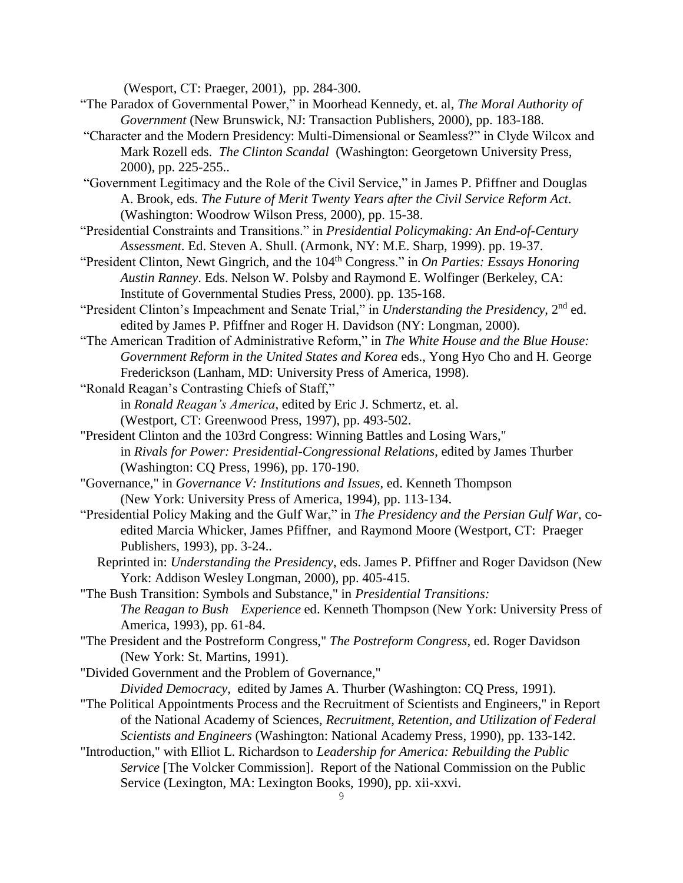(Wesport, CT: Praeger, 2001), pp. 284-300.

- "The Paradox of Governmental Power," in Moorhead Kennedy, et. al, *The Moral Authority of Government* (New Brunswick, NJ: Transaction Publishers, 2000), pp. 183-188.
- "Character and the Modern Presidency: Multi-Dimensional or Seamless?" in Clyde Wilcox and Mark Rozell eds. *The Clinton Scandal* (Washington: Georgetown University Press, 2000), pp. 225-255..
- "Government Legitimacy and the Role of the Civil Service," in James P. Pfiffner and Douglas A. Brook, eds. *The Future of Merit Twenty Years after the Civil Service Reform Act*. (Washington: Woodrow Wilson Press, 2000), pp. 15-38.
- "Presidential Constraints and Transitions." in *Presidential Policymaking: An End-of-Century Assessment*. Ed. Steven A. Shull. (Armonk, NY: M.E. Sharp, 1999). pp. 19-37.
- "President Clinton, Newt Gingrich, and the 104<sup>th</sup> Congress." in *On Parties: Essays Honoring Austin Ranney*. Eds. Nelson W. Polsby and Raymond E. Wolfinger (Berkeley, CA: Institute of Governmental Studies Press, 2000). pp. 135-168.
- "President Clinton's Impeachment and Senate Trial," in *Understanding the Presidency*, 2<sup>nd</sup> ed. edited by James P. Pfiffner and Roger H. Davidson (NY: Longman, 2000).
- "The American Tradition of Administrative Reform," in *The White House and the Blue House: Government Reform in the United States and Korea* eds., Yong Hyo Cho and H. George Frederickson (Lanham, MD: University Press of America, 1998).
- "Ronald Reagan's Contrasting Chiefs of Staff,"
	- in *Ronald Reagan's America*, edited by Eric J. Schmertz, et. al.
	- (Westport, CT: Greenwood Press, 1997), pp. 493-502.
- "President Clinton and the 103rd Congress: Winning Battles and Losing Wars," in *Rivals for Power: Presidential-Congressional Relations*, edited by James Thurber (Washington: CQ Press, 1996), pp. 170-190.
- "Governance," in *Governance V: Institutions and Issues*, ed. Kenneth Thompson (New York: University Press of America, 1994), pp. 113-134.
- "Presidential Policy Making and the Gulf War," in *The Presidency and the Persian Gulf War*, coedited Marcia Whicker, James Pfiffner, and Raymond Moore (Westport, CT: Praeger Publishers, 1993), pp. 3-24..
	- Reprinted in: *Understanding the Presidency*, eds. James P. Pfiffner and Roger Davidson (New York: Addison Wesley Longman, 2000), pp. 405-415.
- "The Bush Transition: Symbols and Substance," in *Presidential Transitions: The Reagan to Bush Experience* ed. Kenneth Thompson (New York: University Press of America, 1993), pp. 61-84.
- "The President and the Postreform Congress," *The Postreform Congress*, ed. Roger Davidson (New York: St. Martins, 1991).
- "Divided Government and the Problem of Governance,"
	- *Divided Democracy*, edited by James A. Thurber (Washington: CQ Press, 1991).
- "The Political Appointments Process and the Recruitment of Scientists and Engineers," in Report of the National Academy of Sciences, *Recruitment, Retention, and Utilization of Federal Scientists and Engineers* (Washington: National Academy Press, 1990), pp. 133-142.
- "Introduction," with Elliot L. Richardson to *Leadership for America: Rebuilding the Public Service* [The Volcker Commission]. Report of the National Commission on the Public Service (Lexington, MA: Lexington Books, 1990), pp. xii-xxvi.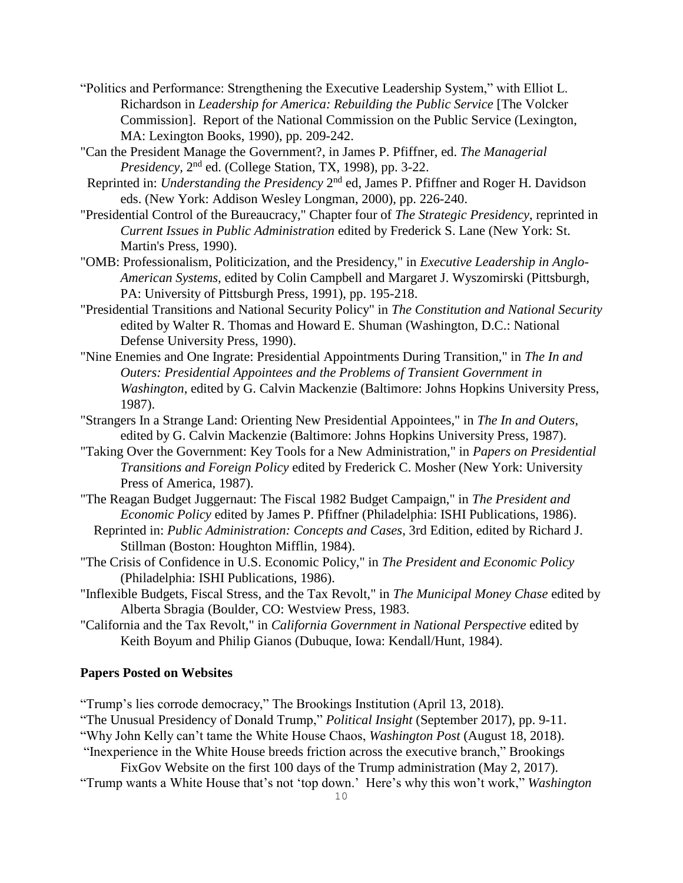- "Politics and Performance: Strengthening the Executive Leadership System," with Elliot L. Richardson in *Leadership for America: Rebuilding the Public Service* [The Volcker Commission]. Report of the National Commission on the Public Service (Lexington, MA: Lexington Books, 1990), pp. 209-242.
- "Can the President Manage the Government?, in James P. Pfiffner, ed. *The Managerial*  Presidency, 2<sup>nd</sup> ed. (College Station, TX, 1998), pp. 3-22.
- Reprinted in: *Understanding the Presidency* 2<sup>nd</sup> ed, James P. Pfiffner and Roger H. Davidson eds. (New York: Addison Wesley Longman, 2000), pp. 226-240.
- "Presidential Control of the Bureaucracy," Chapter four of *The Strategic Presidency*, reprinted in *Current Issues in Public Administration* edited by Frederick S. Lane (New York: St. Martin's Press, 1990).
- "OMB: Professionalism, Politicization, and the Presidency," in *Executive Leadership in Anglo-American Systems,* edited by Colin Campbell and Margaret J. Wyszomirski (Pittsburgh, PA: University of Pittsburgh Press, 1991), pp. 195-218.
- "Presidential Transitions and National Security Policy" in *The Constitution and National Security* edited by Walter R. Thomas and Howard E. Shuman (Washington, D.C.: National Defense University Press, 1990).
- "Nine Enemies and One Ingrate: Presidential Appointments During Transition," in *The In and Outers: Presidential Appointees and the Problems of Transient Government in Washington*, edited by G. Calvin Mackenzie (Baltimore: Johns Hopkins University Press, 1987).
- "Strangers In a Strange Land: Orienting New Presidential Appointees," in *The In and Outers*, edited by G. Calvin Mackenzie (Baltimore: Johns Hopkins University Press, 1987).
- "Taking Over the Government: Key Tools for a New Administration," in *Papers on Presidential Transitions and Foreign Policy* edited by Frederick C. Mosher (New York: University Press of America, 1987).
- "The Reagan Budget Juggernaut: The Fiscal 1982 Budget Campaign," in *The President and Economic Policy* edited by James P. Pfiffner (Philadelphia: ISHI Publications, 1986).
	- Reprinted in: *Public Administration: Concepts and Cases*, 3rd Edition, edited by Richard J. Stillman (Boston: Houghton Mifflin, 1984).
- "The Crisis of Confidence in U.S. Economic Policy," in *The President and Economic Policy* (Philadelphia: ISHI Publications, 1986).
- "Inflexible Budgets, Fiscal Stress, and the Tax Revolt," in *The Municipal Money Chase* edited by Alberta Sbragia (Boulder, CO: Westview Press, 1983.
- "California and the Tax Revolt," in *California Government in National Perspective* edited by Keith Boyum and Philip Gianos (Dubuque, Iowa: Kendall/Hunt, 1984).

### **Papers Posted on Websites**

"Trump's lies corrode democracy," The Brookings Institution (April 13, 2018).

- "The Unusual Presidency of Donald Trump," *Political Insight* (September 2017), pp. 9-11.
- "Why John Kelly can't tame the White House Chaos, *Washington Post* (August 18, 2018).

"Inexperience in the White House breeds friction across the executive branch," Brookings

FixGov Website on the first 100 days of the Trump administration (May 2, 2017).

"Trump wants a White House that's not 'top down.' Here's why this won't work," *Washington*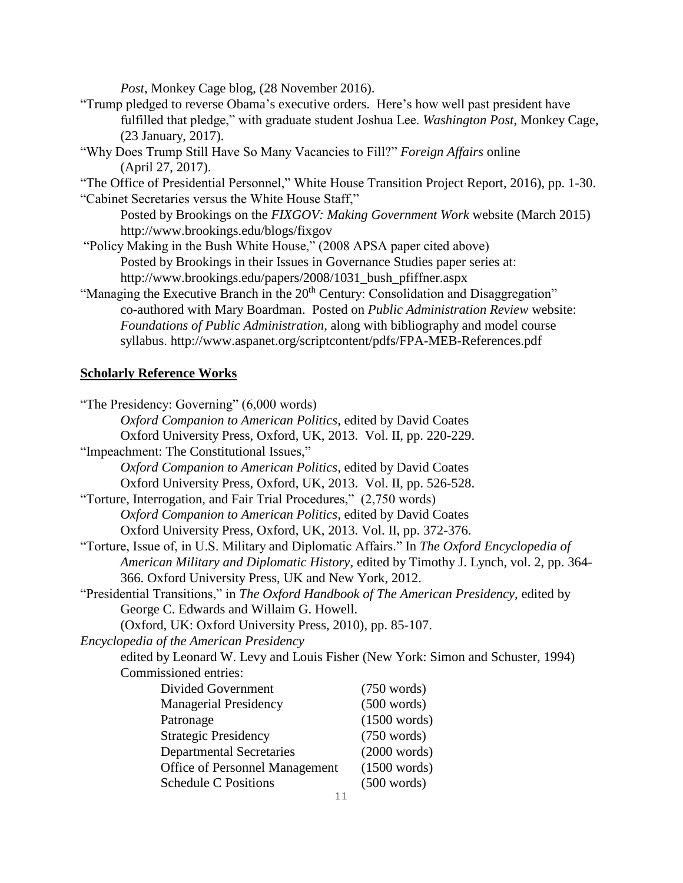*Post*, Monkey Cage blog, (28 November 2016).

- "Trump pledged to reverse Obama's executive orders. Here's how well past president have fulfilled that pledge," with graduate student Joshua Lee. *Washington Post*, Monkey Cage, (23 January, 2017).
- "Why Does Trump Still Have So Many Vacancies to Fill?" *Foreign Affairs* online (April 27, 2017).

"The Office of Presidential Personnel," White House Transition Project Report, 2016), pp. 1-30. "Cabinet Secretaries versus the White House Staff,"

Posted by Brookings on the *FIXGOV: Making Government Work* website (March 2015) http://www.brookings.edu/blogs/fixgov

"Policy Making in the Bush White House," (2008 APSA paper cited above) Posted by Brookings in their Issues in Governance Studies paper series at: http://www.brookings.edu/papers/2008/1031\_bush\_pfiffner.aspx

"Managing the Executive Branch in the 20<sup>th</sup> Century: Consolidation and Disaggregation" co-authored with Mary Boardman. Posted on *Public Administration Review* website: *Foundations of Public Administration,* along with bibliography and model course syllabus. http://www.aspanet.org/scriptcontent/pdfs/FPA-MEB-References.pdf

## **Scholarly Reference Works**

| "The Presidency: Governing" (6,000 words)                                                   |                                                                                        |
|---------------------------------------------------------------------------------------------|----------------------------------------------------------------------------------------|
| Oxford Companion to American Politics, edited by David Coates                               |                                                                                        |
| Oxford University Press, Oxford, UK, 2013. Vol. II, pp. 220-229.                            |                                                                                        |
| "Impeachment: The Constitutional Issues,"                                                   |                                                                                        |
| Oxford Companion to American Politics, edited by David Coates                               |                                                                                        |
| Oxford University Press, Oxford, UK, 2013. Vol. II, pp. 526-528.                            |                                                                                        |
| "Torture, Interrogation, and Fair Trial Procedures," (2,750 words)                          |                                                                                        |
| Oxford Companion to American Politics, edited by David Coates                               |                                                                                        |
| Oxford University Press, Oxford, UK, 2013. Vol. II, pp. 372-376.                            |                                                                                        |
| "Torture, Issue of, in U.S. Military and Diplomatic Affairs." In The Oxford Encyclopedia of |                                                                                        |
|                                                                                             | American Military and Diplomatic History, edited by Timothy J. Lynch, vol. 2, pp. 364- |
| 366. Oxford University Press, UK and New York, 2012.                                        |                                                                                        |
| "Presidential Transitions," in The Oxford Handbook of The American Presidency, edited by    |                                                                                        |
| George C. Edwards and Willaim G. Howell.                                                    |                                                                                        |
| (Oxford, UK: Oxford University Press, 2010), pp. 85-107.                                    |                                                                                        |
| Encyclopedia of the American Presidency                                                     |                                                                                        |
| edited by Leonard W. Levy and Louis Fisher (New York: Simon and Schuster, 1994)             |                                                                                        |
| Commissioned entries:                                                                       |                                                                                        |
| Divided Government                                                                          | $(750 \text{ words})$                                                                  |
| <b>Managerial Presidency</b>                                                                | $(500 \text{ words})$                                                                  |
| Patronage                                                                                   | (1500 words)                                                                           |
| <b>Strategic Presidency</b>                                                                 | $(750 \text{ words})$                                                                  |
| <b>Departmental Secretaries</b>                                                             | (2000 words)                                                                           |
| <b>Office of Personnel Management</b>                                                       | (1500 words)                                                                           |
| <b>Schedule C Positions</b>                                                                 | $(500 \text{ words})$                                                                  |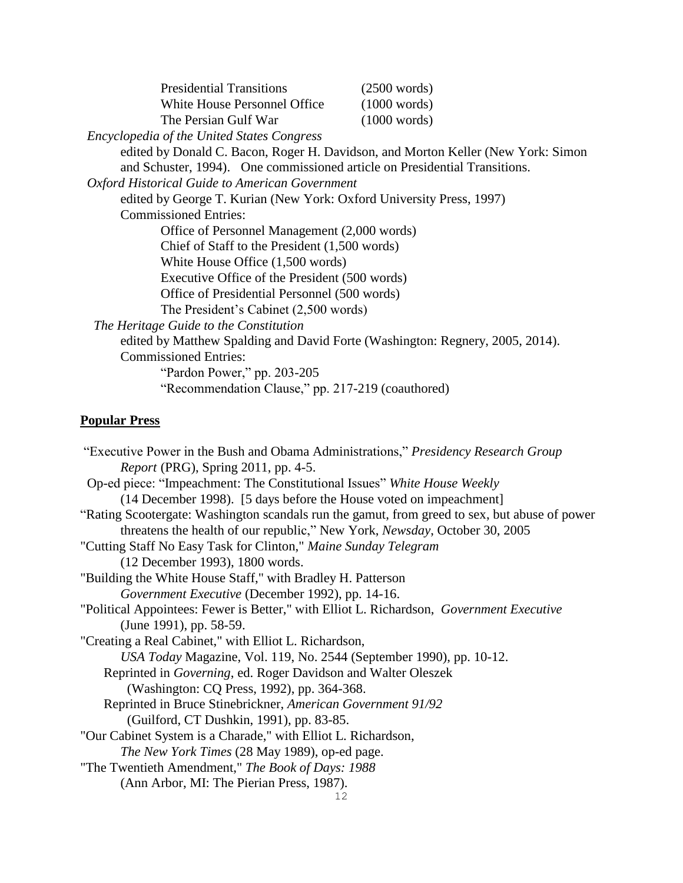| <b>Presidential Transitions</b> | $(2500 \text{ words})$ |
|---------------------------------|------------------------|
| White House Personnel Office    | (1000 words)           |
| The Persian Gulf War            | (1000 words)           |

*Encyclopedia of the United States Congress*

edited by Donald C. Bacon, Roger H. Davidson, and Morton Keller (New York: Simon and Schuster, 1994). One commissioned article on Presidential Transitions.

 *Oxford Historical Guide to American Government*

edited by George T. Kurian (New York: Oxford University Press, 1997) Commissioned Entries: Office of Personnel Management (2,000 words) Chief of Staff to the President (1,500 words)

White House Office (1,500 words)

Executive Office of the President (500 words)

Office of Presidential Personnel (500 words)

The President's Cabinet (2,500 words)

*The Heritage Guide to the Constitution* 

edited by Matthew Spalding and David Forte (Washington: Regnery, 2005, 2014). Commissioned Entries:

> "Pardon Power," pp. 203-205 "Recommendation Clause," pp. 217-219 (coauthored)

## **Popular Press**

"Executive Power in the Bush and Obama Administrations," *Presidency Research Group Report* (PRG), Spring 2011, pp. 4-5. Op-ed piece: "Impeachment: The Constitutional Issues" *White House Weekly* (14 December 1998). [5 days before the House voted on impeachment] "Rating Scootergate: Washington scandals run the gamut, from greed to sex, but abuse of power threatens the health of our republic," New York, *Newsday*, October 30, 2005 "Cutting Staff No Easy Task for Clinton," *Maine Sunday Telegram* (12 December 1993), 1800 words. "Building the White House Staff," with Bradley H. Patterson *Government Executive* (December 1992), pp. 14-16. "Political Appointees: Fewer is Better," with Elliot L. Richardson, *Government Executive* (June 1991), pp. 58-59. "Creating a Real Cabinet," with Elliot L. Richardson, *USA Today* Magazine, Vol. 119, No. 2544 (September 1990), pp. 10-12. Reprinted in *Governing*, ed. Roger Davidson and Walter Oleszek (Washington: CQ Press, 1992), pp. 364-368. Reprinted in Bruce Stinebrickner, *American Government 91/92* (Guilford, CT Dushkin, 1991), pp. 83-85. "Our Cabinet System is a Charade," with Elliot L. Richardson, *The New York Times* (28 May 1989), op-ed page. "The Twentieth Amendment," *The Book of Days: 1988* (Ann Arbor, MI: The Pierian Press, 1987).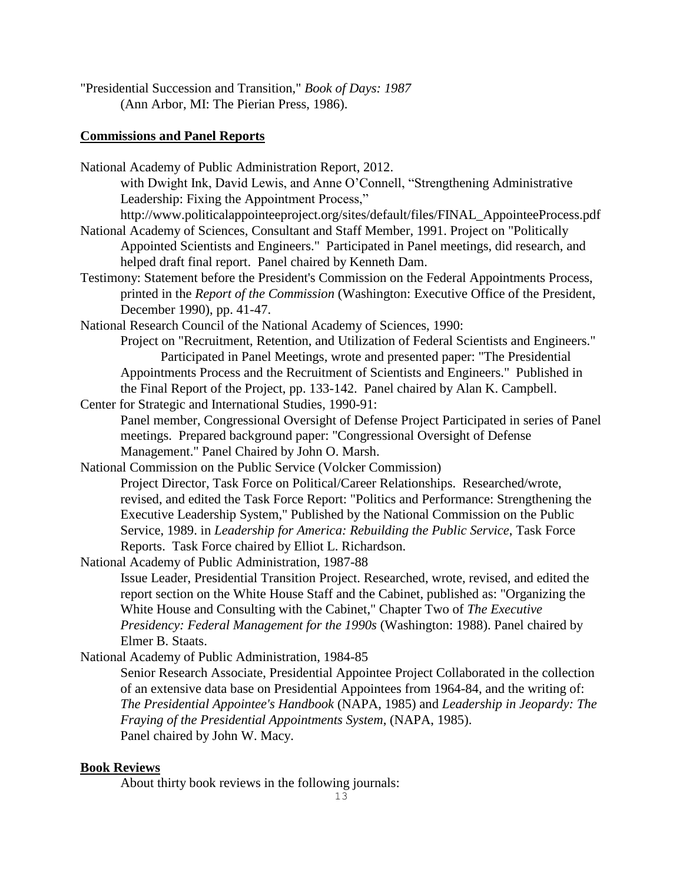"Presidential Succession and Transition," *Book of Days: 1987* (Ann Arbor, MI: The Pierian Press, 1986).

## **Commissions and Panel Reports**

National Academy of Public Administration Report, 2012. with Dwight Ink, David Lewis, and Anne O'Connell, "Strengthening Administrative Leadership: Fixing the Appointment Process," http://www.politicalappointeeproject.org/sites/default/files/FINAL\_AppointeeProcess.pdf National Academy of Sciences, Consultant and Staff Member, 1991. Project on "Politically Appointed Scientists and Engineers." Participated in Panel meetings, did research, and helped draft final report. Panel chaired by Kenneth Dam. Testimony: Statement before the President's Commission on the Federal Appointments Process, printed in the *Report of the Commission* (Washington: Executive Office of the President, December 1990), pp. 41-47. National Research Council of the National Academy of Sciences, 1990: Project on "Recruitment, Retention, and Utilization of Federal Scientists and Engineers." Participated in Panel Meetings, wrote and presented paper: "The Presidential Appointments Process and the Recruitment of Scientists and Engineers." Published in the Final Report of the Project, pp. 133-142. Panel chaired by Alan K. Campbell. Center for Strategic and International Studies, 1990-91: Panel member, Congressional Oversight of Defense Project Participated in series of Panel meetings. Prepared background paper: "Congressional Oversight of Defense Management." Panel Chaired by John O. Marsh. National Commission on the Public Service (Volcker Commission) Project Director, Task Force on Political/Career Relationships. Researched/wrote, revised, and edited the Task Force Report: "Politics and Performance: Strengthening the Executive Leadership System," Published by the National Commission on the Public Service, 1989. in *Leadership for America: Rebuilding the Public Service*, Task Force Reports. Task Force chaired by Elliot L. Richardson. National Academy of Public Administration, 1987-88 Issue Leader, Presidential Transition Project. Researched, wrote, revised, and edited the report section on the White House Staff and the Cabinet, published as: "Organizing the White House and Consulting with the Cabinet," Chapter Two of *The Executive Presidency: Federal Management for the 1990s* (Washington: 1988). Panel chaired by Elmer B. Staats. National Academy of Public Administration, 1984-85 Senior Research Associate, Presidential Appointee Project Collaborated in the collection

of an extensive data base on Presidential Appointees from 1964-84, and the writing of: *The Presidential Appointee's Handbook* (NAPA, 1985) and *Leadership in Jeopardy: The Fraying of the Presidential Appointments System*, (NAPA, 1985). Panel chaired by John W. Macy.

## **Book Reviews**

About thirty book reviews in the following journals: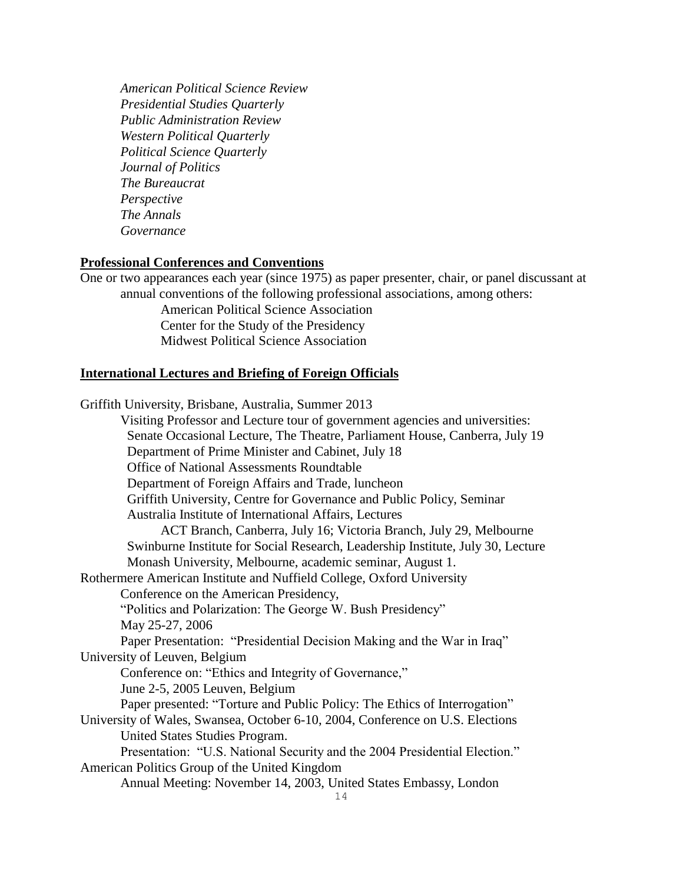*American Political Science Review Presidential Studies Quarterly Public Administration Review Western Political Quarterly Political Science Quarterly Journal of Politics The Bureaucrat Perspective The Annals Governance*

#### **Professional Conferences and Conventions**

One or two appearances each year (since 1975) as paper presenter, chair, or panel discussant at annual conventions of the following professional associations, among others: American Political Science Association Center for the Study of the Presidency Midwest Political Science Association

### **International Lectures and Briefing of Foreign Officials**

14 Griffith University, Brisbane, Australia, Summer 2013 Visiting Professor and Lecture tour of government agencies and universities: Senate Occasional Lecture, The Theatre, Parliament House, Canberra, July 19 Department of Prime Minister and Cabinet, July 18 Office of National Assessments Roundtable Department of Foreign Affairs and Trade, luncheon Griffith University, Centre for Governance and Public Policy, Seminar Australia Institute of International Affairs, Lectures ACT Branch, Canberra, July 16; Victoria Branch, July 29, Melbourne Swinburne Institute for Social Research, Leadership Institute, July 30, Lecture Monash University, Melbourne, academic seminar, August 1. Rothermere American Institute and Nuffield College, Oxford University Conference on the American Presidency, "Politics and Polarization: The George W. Bush Presidency" May 25-27, 2006 Paper Presentation: "Presidential Decision Making and the War in Iraq" University of Leuven, Belgium Conference on: "Ethics and Integrity of Governance," June 2-5, 2005 Leuven, Belgium Paper presented: "Torture and Public Policy: The Ethics of Interrogation" University of Wales, Swansea, October 6-10, 2004, Conference on U.S. Elections United States Studies Program. Presentation: "U.S. National Security and the 2004 Presidential Election." American Politics Group of the United Kingdom Annual Meeting: November 14, 2003, United States Embassy, London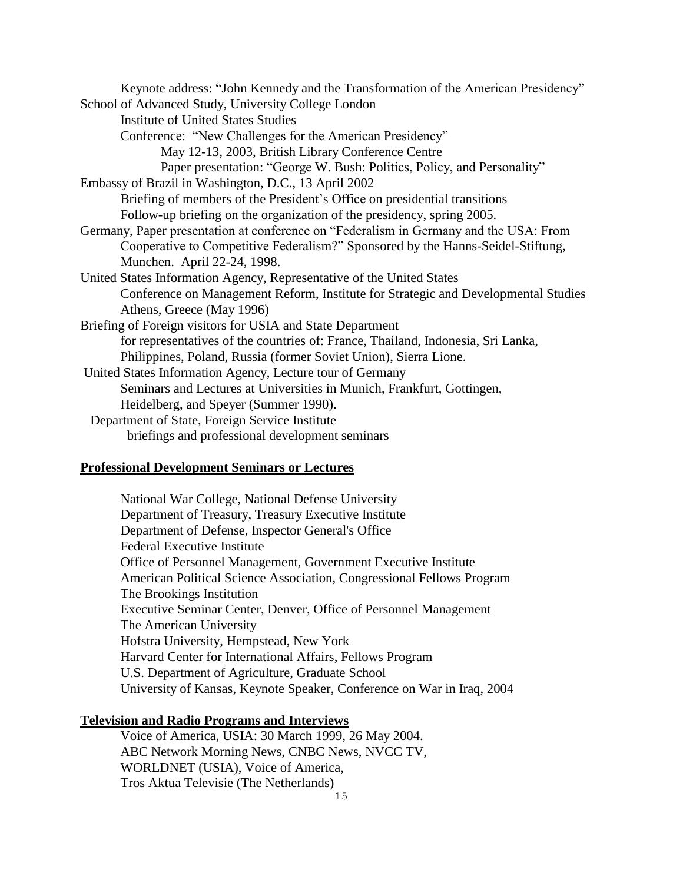| Keynote address: "John Kennedy and the Transformation of the American Presidency"     |
|---------------------------------------------------------------------------------------|
| School of Advanced Study, University College London                                   |
| <b>Institute of United States Studies</b>                                             |
| Conference: "New Challenges for the American Presidency"                              |
| May 12-13, 2003, British Library Conference Centre                                    |
| Paper presentation: "George W. Bush: Politics, Policy, and Personality"               |
| Embassy of Brazil in Washington, D.C., 13 April 2002                                  |
| Briefing of members of the President's Office on presidential transitions             |
| Follow-up briefing on the organization of the presidency, spring 2005.                |
| Germany, Paper presentation at conference on "Federalism in Germany and the USA: From |
| Cooperative to Competitive Federalism?" Sponsored by the Hanns-Seidel-Stiftung,       |
| Munchen. April 22-24, 1998.                                                           |
| United States Information Agency, Representative of the United States                 |
| Conference on Management Reform, Institute for Strategic and Developmental Studies    |
| Athens, Greece (May 1996)                                                             |
| Briefing of Foreign visitors for USIA and State Department                            |
| for representatives of the countries of: France, Thailand, Indonesia, Sri Lanka,      |
| Philippines, Poland, Russia (former Soviet Union), Sierra Lione.                      |
| United States Information Agency, Lecture tour of Germany                             |
| Seminars and Lectures at Universities in Munich, Frankfurt, Gottingen,                |
| Heidelberg, and Speyer (Summer 1990).                                                 |
| Department of State, Foreign Service Institute                                        |
| briefings and professional development seminars                                       |
|                                                                                       |

## **Professional Development Seminars or Lectures**

National War College, National Defense University Department of Treasury, Treasury Executive Institute Department of Defense, Inspector General's Office Federal Executive Institute Office of Personnel Management, Government Executive Institute American Political Science Association, Congressional Fellows Program The Brookings Institution Executive Seminar Center, Denver, Office of Personnel Management The American University Hofstra University, Hempstead, New York Harvard Center for International Affairs, Fellows Program U.S. Department of Agriculture, Graduate School University of Kansas, Keynote Speaker, Conference on War in Iraq, 2004

## **Television and Radio Programs and Interviews**

Voice of America, USIA: 30 March 1999, 26 May 2004. ABC Network Morning News, CNBC News, NVCC TV, WORLDNET (USIA), Voice of America, Tros Aktua Televisie (The Netherlands)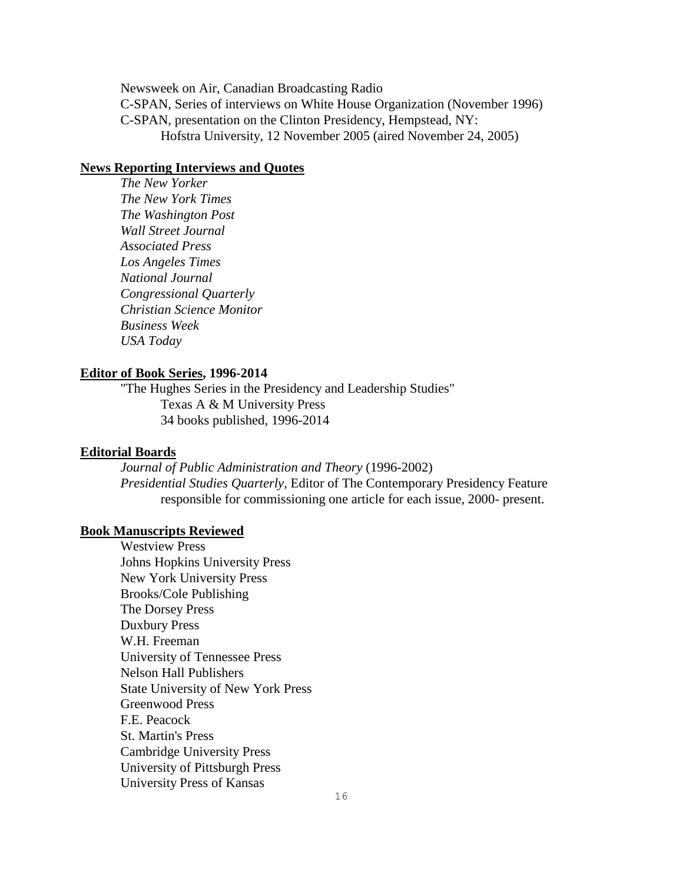Newsweek on Air, Canadian Broadcasting Radio C-SPAN, Series of interviews on White House Organization (November 1996) C-SPAN, presentation on the Clinton Presidency, Hempstead, NY: Hofstra University, 12 November 2005 (aired November 24, 2005)

### **News Reporting Interviews and Quotes**

*The New Yorker The New York Times The Washington Post Wall Street Journal Associated Press Los Angeles Times National Journal Congressional Quarterly Christian Science Monitor Business Week USA Today*

### **Editor of Book Series, 1996-2014**

"The Hughes Series in the Presidency and Leadership Studies" Texas A & M University Press 34 books published, 1996-2014

#### **Editorial Boards**

*Journal of Public Administration and Theory* (1996-2002) *Presidential Studies Quarterly,* Editor of The Contemporary Presidency Feature responsible for commissioning one article for each issue, 2000- present.

### **Book Manuscripts Reviewed**

Westview Press Johns Hopkins University Press New York University Press Brooks/Cole Publishing The Dorsey Press Duxbury Press W.H. Freeman University of Tennessee Press Nelson Hall Publishers State University of New York Press Greenwood Press F.E. Peacock St. Martin's Press Cambridge University Press University of Pittsburgh Press University Press of Kansas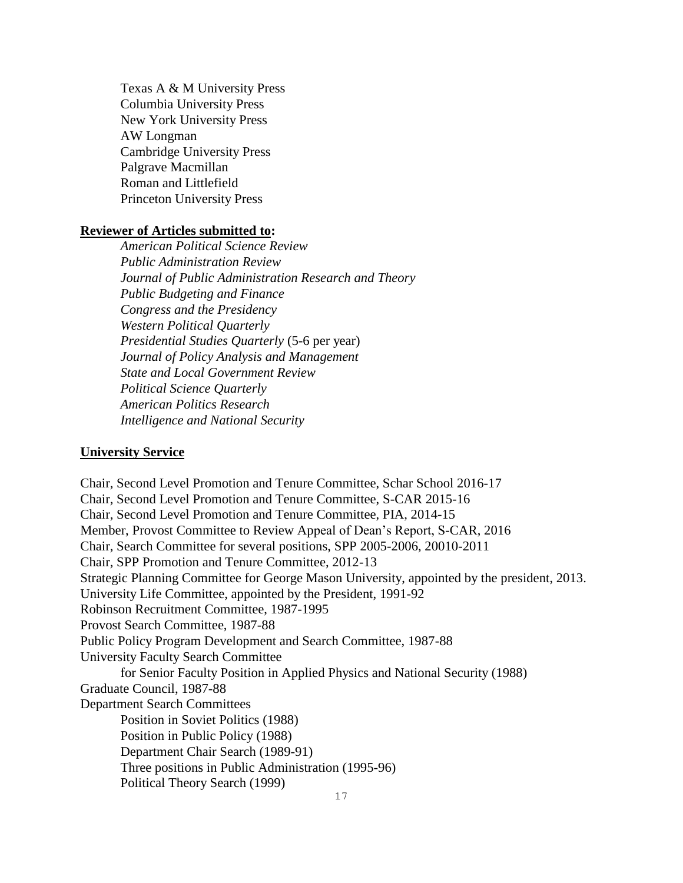Texas A & M University Press Columbia University Press New York University Press AW Longman Cambridge University Press Palgrave Macmillan Roman and Littlefield Princeton University Press

### **Reviewer of Articles submitted to:**

*American Political Science Review Public Administration Review Journal of Public Administration Research and Theory Public Budgeting and Finance Congress and the Presidency Western Political Quarterly Presidential Studies Quarterly* (5-6 per year) *Journal of Policy Analysis and Management State and Local Government Review Political Science Quarterly American Politics Research Intelligence and National Security*

#### **University Service**

Chair, Second Level Promotion and Tenure Committee, Schar School 2016-17 Chair, Second Level Promotion and Tenure Committee, S-CAR 2015-16 Chair, Second Level Promotion and Tenure Committee, PIA, 2014-15 Member, Provost Committee to Review Appeal of Dean's Report, S-CAR, 2016 Chair, Search Committee for several positions, SPP 2005-2006, 20010-2011 Chair, SPP Promotion and Tenure Committee, 2012-13 Strategic Planning Committee for George Mason University, appointed by the president, 2013. University Life Committee, appointed by the President, 1991-92 Robinson Recruitment Committee, 1987-1995 Provost Search Committee, 1987-88 Public Policy Program Development and Search Committee, 1987-88 University Faculty Search Committee for Senior Faculty Position in Applied Physics and National Security (1988) Graduate Council, 1987-88 Department Search Committees Position in Soviet Politics (1988) Position in Public Policy (1988) Department Chair Search (1989-91) Three positions in Public Administration (1995-96) Political Theory Search (1999)